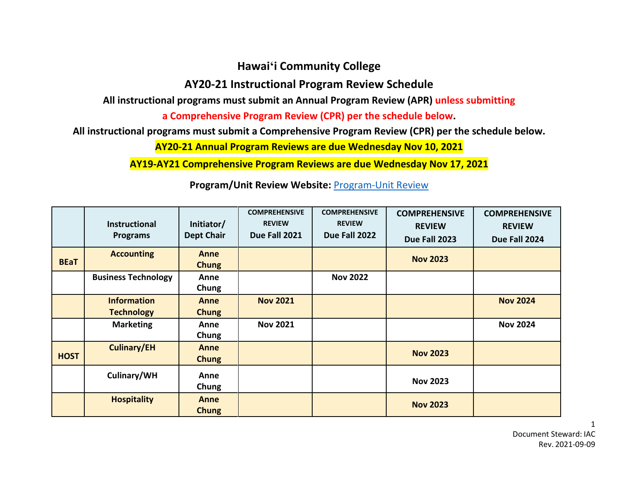## **Hawaiʻi Community College**

## **AY20-21 Instructional Program Review Schedule**

**All instructional programs must submit an Annual Program Review (APR) unless submitting** 

**a Comprehensive Program Review (CPR) per the schedule below.**

**All instructional programs must submit a Comprehensive Program Review (CPR) per the schedule below.**

**AY20-21 Annual Program Reviews are due Wednesday Nov 10, 2021**

**AY19-AY21 Comprehensive Program Reviews are due Wednesday Nov 17, 2021**

|             | <b>Instructional</b><br><b>Programs</b> | Initiator/<br><b>Dept Chair</b> | <b>COMPREHENSIVE</b><br><b>REVIEW</b><br>Due Fall 2021 | <b>COMPREHENSIVE</b><br><b>REVIEW</b><br>Due Fall 2022 | <b>COMPREHENSIVE</b><br><b>REVIEW</b><br>Due Fall 2023 | <b>COMPREHENSIVE</b><br><b>REVIEW</b><br>Due Fall 2024 |
|-------------|-----------------------------------------|---------------------------------|--------------------------------------------------------|--------------------------------------------------------|--------------------------------------------------------|--------------------------------------------------------|
| <b>BEaT</b> | <b>Accounting</b>                       | Anne<br><b>Chung</b>            |                                                        |                                                        | <b>Nov 2023</b>                                        |                                                        |
|             | <b>Business Technology</b>              | Anne<br>Chung                   |                                                        | <b>Nov 2022</b>                                        |                                                        |                                                        |
|             | <b>Information</b><br><b>Technology</b> | Anne<br><b>Chung</b>            | <b>Nov 2021</b>                                        |                                                        |                                                        | <b>Nov 2024</b>                                        |
|             | <b>Marketing</b>                        | Anne<br>Chung                   | <b>Nov 2021</b>                                        |                                                        |                                                        | <b>Nov 2024</b>                                        |
| <b>HOST</b> | <b>Culinary/EH</b>                      | Anne<br><b>Chung</b>            |                                                        |                                                        | <b>Nov 2023</b>                                        |                                                        |
|             | Culinary/WH                             | Anne<br>Chung                   |                                                        |                                                        | <b>Nov 2023</b>                                        |                                                        |
|             | <b>Hospitality</b>                      | Anne<br><b>Chung</b>            |                                                        |                                                        | <b>Nov 2023</b>                                        |                                                        |

**Program/Unit Review Website:** [Program-Unit Review](http://hawaii.hawaii.edu/files/program-unit-review/)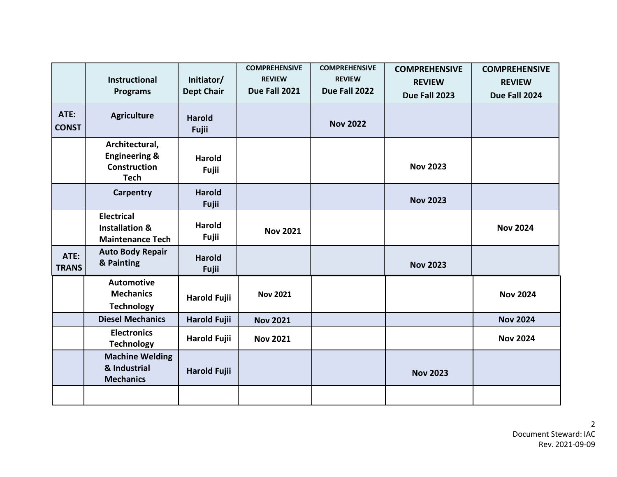| ATE:<br><b>CONST</b> | <b>Instructional</b><br><b>Programs</b><br><b>Agriculture</b>                    | Initiator/<br><b>Dept Chair</b><br><b>Harold</b><br>Fujii | <b>COMPREHENSIVE</b><br><b>REVIEW</b><br>Due Fall 2021 | <b>COMPREHENSIVE</b><br><b>REVIEW</b><br>Due Fall 2022<br><b>Nov 2022</b> | <b>COMPREHENSIVE</b><br><b>REVIEW</b><br>Due Fall 2023 | <b>COMPREHENSIVE</b><br><b>REVIEW</b><br>Due Fall 2024 |
|----------------------|----------------------------------------------------------------------------------|-----------------------------------------------------------|--------------------------------------------------------|---------------------------------------------------------------------------|--------------------------------------------------------|--------------------------------------------------------|
|                      | Architectural,<br><b>Engineering &amp;</b><br><b>Construction</b><br><b>Tech</b> | <b>Harold</b><br>Fujii                                    |                                                        |                                                                           | <b>Nov 2023</b>                                        |                                                        |
|                      | <b>Carpentry</b>                                                                 | <b>Harold</b><br>Fujii                                    |                                                        |                                                                           | <b>Nov 2023</b>                                        |                                                        |
|                      | <b>Electrical</b><br><b>Installation &amp;</b><br><b>Maintenance Tech</b>        | <b>Harold</b><br>Fujii                                    | <b>Nov 2021</b>                                        |                                                                           |                                                        | <b>Nov 2024</b>                                        |
| ATE:<br><b>TRANS</b> | <b>Auto Body Repair</b><br>& Painting                                            | <b>Harold</b><br>Fujii                                    |                                                        |                                                                           | <b>Nov 2023</b>                                        |                                                        |
|                      | <b>Automotive</b><br><b>Mechanics</b><br><b>Technology</b>                       | <b>Harold Fujii</b>                                       | <b>Nov 2021</b>                                        |                                                                           |                                                        | <b>Nov 2024</b>                                        |
|                      | <b>Diesel Mechanics</b>                                                          | <b>Harold Fujii</b>                                       | <b>Nov 2021</b>                                        |                                                                           |                                                        | <b>Nov 2024</b>                                        |
|                      | <b>Electronics</b><br><b>Technology</b>                                          | <b>Harold Fujii</b>                                       | <b>Nov 2021</b>                                        |                                                                           |                                                        | <b>Nov 2024</b>                                        |
|                      | <b>Machine Welding</b><br>& Industrial<br><b>Mechanics</b>                       | <b>Harold Fujii</b>                                       |                                                        |                                                                           | <b>Nov 2023</b>                                        |                                                        |
|                      |                                                                                  |                                                           |                                                        |                                                                           |                                                        |                                                        |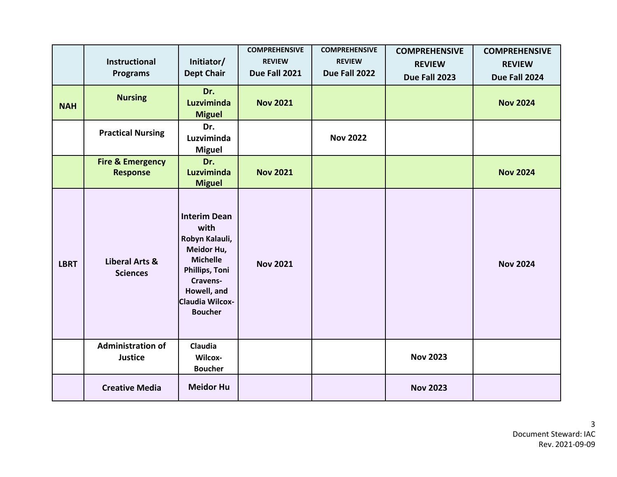|             | <b>Instructional</b><br><b>Programs</b>        | Initiator/<br><b>Dept Chair</b>                                                                                                                                         | <b>COMPREHENSIVE</b><br><b>REVIEW</b><br>Due Fall 2021 | <b>COMPREHENSIVE</b><br><b>REVIEW</b><br>Due Fall 2022 | <b>COMPREHENSIVE</b><br><b>REVIEW</b><br>Due Fall 2023 | <b>COMPREHENSIVE</b><br><b>REVIEW</b><br>Due Fall 2024 |
|-------------|------------------------------------------------|-------------------------------------------------------------------------------------------------------------------------------------------------------------------------|--------------------------------------------------------|--------------------------------------------------------|--------------------------------------------------------|--------------------------------------------------------|
| <b>NAH</b>  | <b>Nursing</b>                                 | Dr.<br>Luzviminda<br><b>Miguel</b>                                                                                                                                      | <b>Nov 2021</b>                                        |                                                        |                                                        | <b>Nov 2024</b>                                        |
|             | <b>Practical Nursing</b>                       | Dr.<br>Luzviminda<br><b>Miguel</b>                                                                                                                                      |                                                        | <b>Nov 2022</b>                                        |                                                        |                                                        |
|             | <b>Fire &amp; Emergency</b><br><b>Response</b> | Dr.<br>Luzviminda<br><b>Miguel</b>                                                                                                                                      | <b>Nov 2021</b>                                        |                                                        |                                                        | <b>Nov 2024</b>                                        |
| <b>LBRT</b> | <b>Liberal Arts &amp;</b><br><b>Sciences</b>   | <b>Interim Dean</b><br>with<br>Robyn Kalauli,<br>Meidor Hu,<br><b>Michelle</b><br><b>Phillips, Toni</b><br>Cravens-<br>Howell, and<br>Claudia Wilcox-<br><b>Boucher</b> | <b>Nov 2021</b>                                        |                                                        |                                                        | <b>Nov 2024</b>                                        |
|             | <b>Administration of</b><br><b>Justice</b>     | Claudia<br>Wilcox-<br><b>Boucher</b>                                                                                                                                    |                                                        |                                                        | <b>Nov 2023</b>                                        |                                                        |
|             | <b>Creative Media</b>                          | <b>Meidor Hu</b>                                                                                                                                                        |                                                        |                                                        | <b>Nov 2023</b>                                        |                                                        |